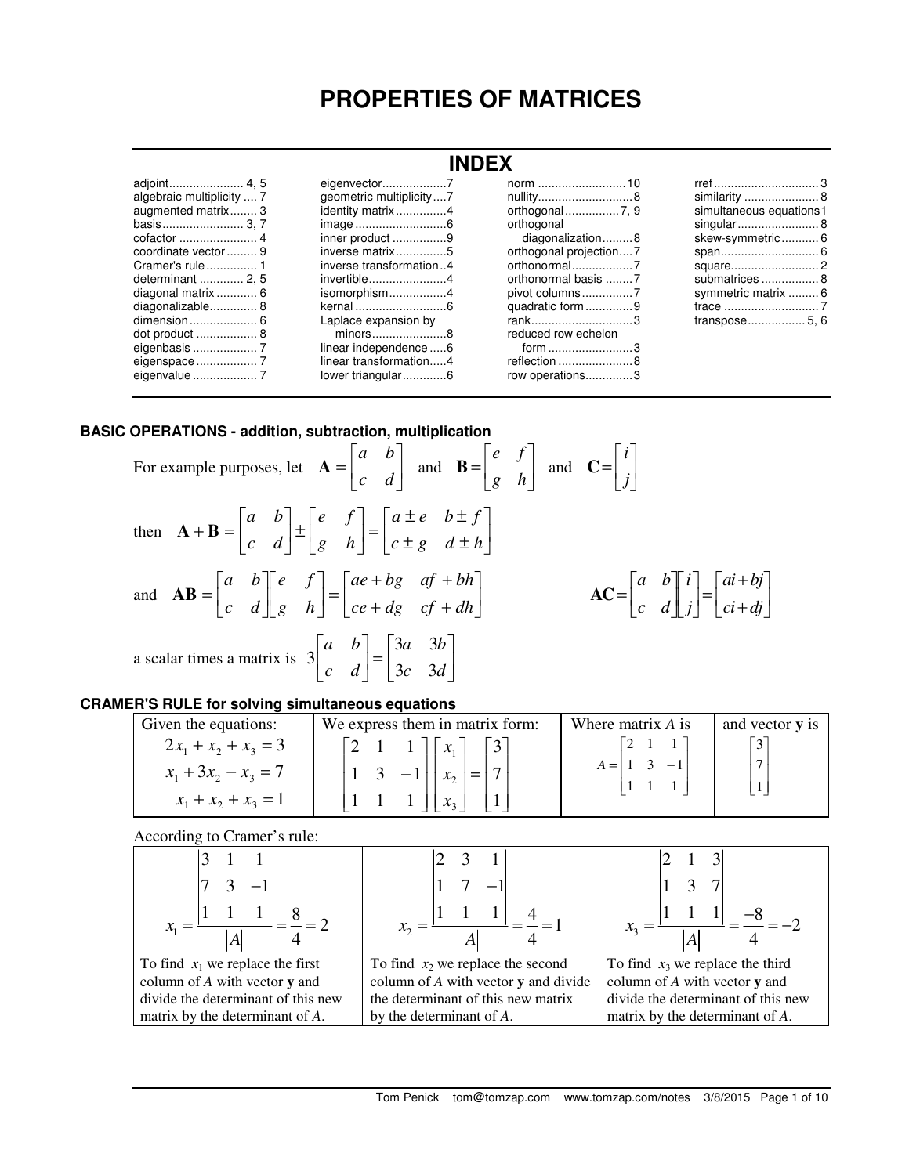# **PROPERTIES OF MATRICES**

| algebraic multiplicity  7<br>augmented matrix 3<br>basis 3.7<br>coordinate vector  9<br>determinant  2.5<br>diagonal matrix  6<br>diagonalizable 8 | geometric multiplicity7<br>identity matrix4<br>inner product 9<br>inverse matrix5<br>inverse transformation4<br>invertible4<br>isomorphism4<br>Laplace expansion by<br>$minors$ 8<br>linear independence 6<br>linear transformation4<br>lower triangular6 | nullity8<br>orthogonal<br>diagonalization8<br>orthogonal projection7<br>orthonormal basis 7<br>quadratic form 9<br>rank3<br>reduced row echelon<br>form 3<br>reflection 8<br>row operations3 | similarity  8<br>simultaneous equations1<br>skew-symmetric 6<br>submatrices  8<br>symmetric matrix 6<br>transpose 5, 6 |  |  |
|----------------------------------------------------------------------------------------------------------------------------------------------------|-----------------------------------------------------------------------------------------------------------------------------------------------------------------------------------------------------------------------------------------------------------|----------------------------------------------------------------------------------------------------------------------------------------------------------------------------------------------|------------------------------------------------------------------------------------------------------------------------|--|--|

## **BASIC OPERATIONS - addition, subtraction, multiplication**

For example purposes, let 
$$
\mathbf{A} = \begin{bmatrix} a & b \\ c & d \end{bmatrix}
$$
 and  $\mathbf{B} = \begin{bmatrix} e & f \\ g & h \end{bmatrix}$  and  $\mathbf{C} = \begin{bmatrix} i \\ j \end{bmatrix}$   
then  $\mathbf{A} + \mathbf{B} = \begin{bmatrix} a & b \\ c & d \end{bmatrix} \pm \begin{bmatrix} e & f \\ g & h \end{bmatrix} = \begin{bmatrix} a \pm e & b \pm f \\ c \pm g & d \pm h \end{bmatrix}$   
and  $\mathbf{AB} = \begin{bmatrix} a & b \\ c & d \end{bmatrix} \begin{bmatrix} e & f \\ g & h \end{bmatrix} = \begin{bmatrix} ae + bg & af + bh \\ ce + dg & cf + dh \end{bmatrix}$   $\mathbf{AC} = \begin{bmatrix} a & b \\ c & d \end{bmatrix} \begin{bmatrix} i \\ j \end{bmatrix} = \begin{bmatrix} ai + bj \\ ci + dj \end{bmatrix}$   
a scalar times a matrix is  $3 \begin{bmatrix} a & b \\ c & d \end{bmatrix} = \begin{bmatrix} 3a & 3b \\ 3c & 3d \end{bmatrix}$ 

## **CRAMER'S RULE for solving simultaneous equations**

| Given the equations:                                                      | We express them in matrix form:                                                                               | Where matrix $\vec{A}$ is | and vector <b>y</b> is |
|---------------------------------------------------------------------------|---------------------------------------------------------------------------------------------------------------|---------------------------|------------------------|
| $2x_1 + x_2 + x_3 = 3$<br>$x_1 + 3x_2 - x_3 = 7$<br>$x_1 + x_2 + x_3 = 1$ | $\begin{vmatrix} 2 & 1 & 1 \end{vmatrix}$ $\begin{vmatrix} x_1 \end{vmatrix}$<br>$3 - 1$  <br>$\mathcal{X}_2$ |                           |                        |

According to Cramer's rule:

| To find $x_1$ we replace the first | To find $x_2$ we replace the second  | To find $x_3$ we replace the third |
|------------------------------------|--------------------------------------|------------------------------------|
| column of $A$ with vector $y$ and  | column of A with vector y and divide | column of A with vector y and      |
| divide the determinant of this new | the determinant of this new matrix   | divide the determinant of this new |
| matrix by the determinant of A.    | by the determinant of A.             | matrix by the determinant of A.    |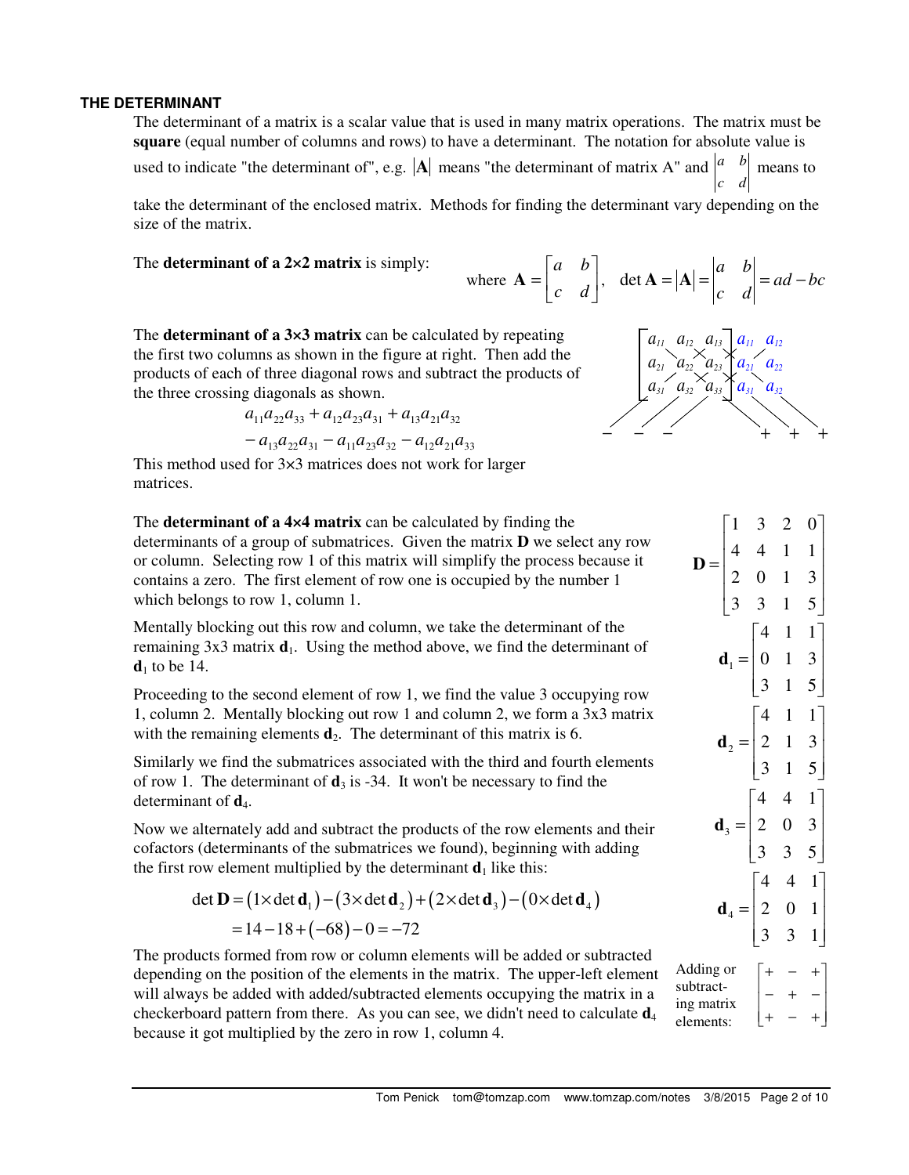## **THE DETERMINANT**

The determinant of a matrix is a scalar value that is used in many matrix operations. The matrix must be **square** (equal number of columns and rows) to have a determinant. The notation for absolute value is used to indicate "the determinant of", e.g.  $|\mathbf{A}|$  means "the determinant of matrix A" and  $\begin{vmatrix} a & b \end{vmatrix}$  means to *c d*

take the determinant of the enclosed matrix. Methods for finding the determinant vary depending on the size of the matrix.

The **determinant of a 2×2 matrix** is simply:

where 
$$
\mathbf{A} = \begin{bmatrix} a & b \\ c & d \end{bmatrix}
$$
, det  $\mathbf{A} = |\mathbf{A}| = \begin{vmatrix} a & b \\ c & d \end{vmatrix} = ad - bc$ 

The **determinant of a 3×3 matrix** can be calculated by repeating the first two columns as shown in the figure at right. Then add the products of each of three diagonal rows and subtract the products of the three crossing diagonals as shown.

$$
a_{11}a_{22}a_{33} + a_{12}a_{23}a_{31} + a_{13}a_{21}a_{32}
$$

$$
-a_{13}a_{22}a_{31} - a_{11}a_{23}a_{32} - a_{12}a_{21}a_{33}
$$



This method used for 3×3 matrices does not work for larger matrices.

The **determinant of a 4×4 matrix** can be calculated by finding the determinants of a group of submatrices. Given the matrix **D** we select any row or column. Selecting row 1 of this matrix will simplify the process because it contains a zero. The first element of row one is occupied by the number 1 which belongs to row 1, column 1.

Mentally blocking out this row and column, we take the determinant of the remaining  $3x3$  matrix  $\mathbf{d}_1$ . Using the method above, we find the determinant of  $\mathbf{d}_1$  to be 14.

Proceeding to the second element of row 1, we find the value 3 occupying row 1, column 2. Mentally blocking out row 1 and column 2, we form a 3x3 matrix with the remaining elements  $\mathbf{d}_2$ . The determinant of this matrix is 6.

Similarly we find the submatrices associated with the third and fourth elements of row 1. The determinant of  $\mathbf{d}_3$  is -34. It won't be necessary to find the determinant of  $\mathbf{d}_4$ .

Now we alternately add and subtract the products of the row elements and their cofactors (determinants of the submatrices we found), beginning with adding the first row element multiplied by the determinant  $\mathbf{d}_1$  like this:

det **D** = 
$$
(1 \times \det d_1) - (3 \times \det d_2) + (2 \times \det d_3) - (0 \times \det d_4)
$$
  
=  $14 - 18 + (-68) - 0 = -72$ 

The products formed from row or column elements will be added or subtracted depending on the position of the elements in the matrix. The upper-left element will always be added with added/subtracted elements occupying the matrix in a checkerboard pattern from there. As you can see, we didn't need to calculate  $\mathbf{d}_4$ because it got multiplied by the zero in row 1, column 4.

1 3 2 0 4 4 1 1 2 0 1 3 3 3 1 5  $\begin{bmatrix} 1 & 3 & 2 & 0 \end{bmatrix}$  $\begin{bmatrix} 1 & 1 & 1 \end{bmatrix}$  $=\begin{bmatrix} 4 & 4 & 1 & 1 \\ 2 & 0 & 1 & 3 \end{bmatrix}$  $\begin{bmatrix} 3 & 3 & 1 & 5 \end{bmatrix}$ **D**  $\mathbf{d}_1 = \begin{bmatrix} 0 & 1 & 3 \end{bmatrix}$  $\begin{bmatrix} 4 & 1 & 1 \end{bmatrix}$  $\begin{bmatrix} 3 & 1 & 5 \end{bmatrix}$  $2 = | 2 \t1 \t3$  $\begin{bmatrix} 4 & 1 & 1 \end{bmatrix}$ 3 1 5  $=\begin{vmatrix} 2 & 1 & 3 \end{vmatrix}$  $\begin{bmatrix} 3 & 1 & 5 \end{bmatrix}$ **d** 3 4 4 1 2 0 3  $\begin{bmatrix} 3 & 3 & 5 \end{bmatrix}$  $\begin{bmatrix} 4 & 4 & 1 \end{bmatrix}$  $\mathbf{d}_3 = \begin{bmatrix} 2 & 0 & 3 \end{bmatrix}$  $_{4} = | 2 \ 0 \ 1$  $\begin{bmatrix} 4 & 4 & 1 \end{bmatrix}$ 3 3 1  $=\begin{bmatrix} 2 & 0 & 1 \end{bmatrix}$  $\begin{bmatrix} 3 & 3 & 1 \end{bmatrix}$ **d** Adding or subtracting matrix elements:  $+ - +$  $\begin{vmatrix} - & + & - \end{vmatrix}$  $+ - +$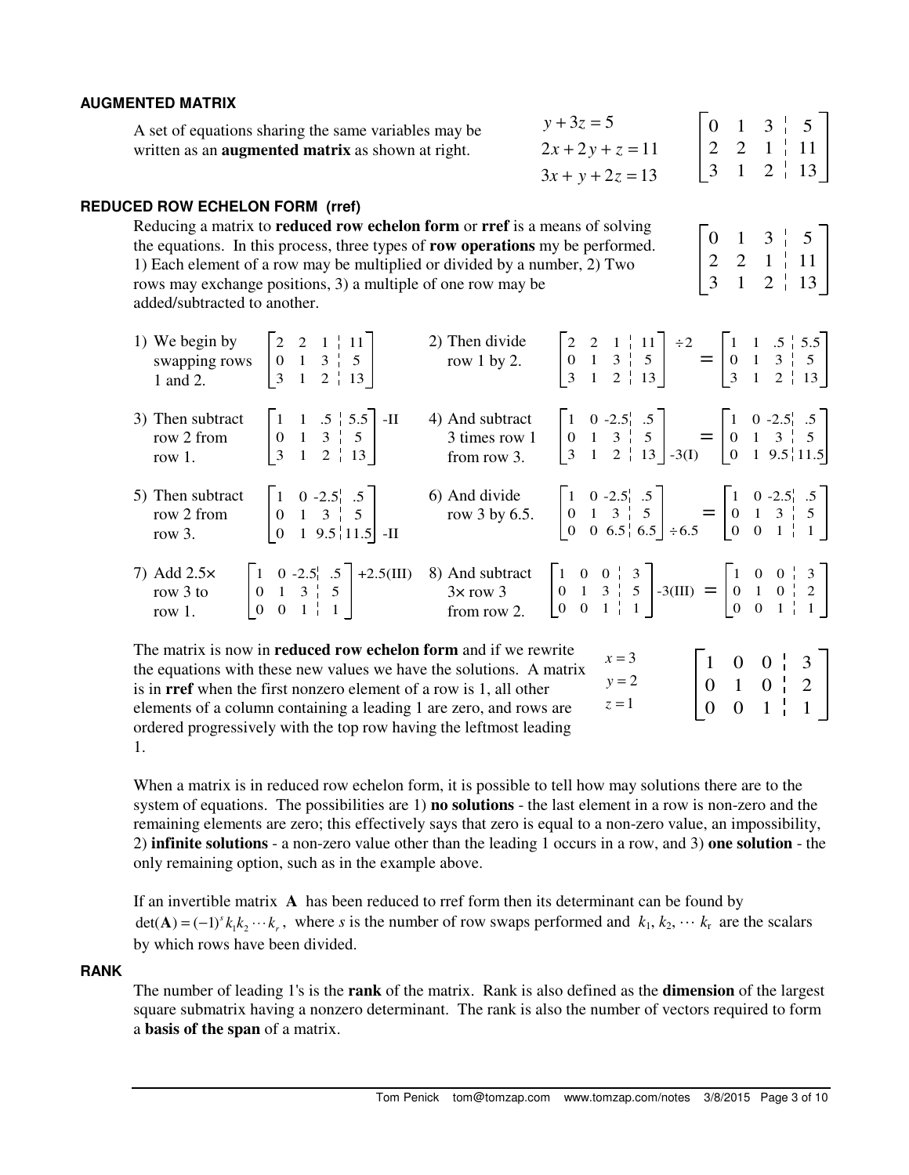## **AUGMENTED MATRIX**

| A set of equations sharing the same variables may be     | $y + 3z = 5$       |                                                                |  |  |
|----------------------------------------------------------|--------------------|----------------------------------------------------------------|--|--|
| written as an <b>augmented matrix</b> as shown at right. | $2x+2y+z=11$       | $\begin{bmatrix} 2 & 2 & 1 & 11 \end{bmatrix}$                 |  |  |
|                                                          | $3x + y + 2z = 13$ | $\begin{vmatrix} 3 & 1 & 2 & 1 \\ 1 & 1 & 2 & 1 \end{vmatrix}$ |  |  |

 $0 \quad 1 \quad 3 \quad 5$ 2 2 1 | 11

 $2 \frac{1}{1}$  13

3 1

## **REDUCED ROW ECHELON FORM (rref)**

Reducing a matrix to **reduced row echelon form** or **rref** is a means of solving the equations. In this process, three types of **row operations** my be performed. 1) Each element of a row may be multiplied or divided by a number, 2) Two rows may exchange positions, 3) a multiple of one row may be added/subtracted to another.

| 1) We begin by<br>swapping rows<br>1 and 2. | $\begin{array}{ c c c c c c } \hline 0 & 1 & 3 & 5 \\ 3 & 1 & 2 & 13 \end{array}$                                                                                                                                          | 2) Then divide<br>row $1$ by $2$ .              |                                                                                                                                                                                                                                     | $\begin{bmatrix} 2 & 2 & 1 &   & 11 \\ 0 & 1 & 3 &   & 5 \\ 3 & 1 & 2 &   & 13 \end{bmatrix}$ $\stackrel{+2}{=}$ $\begin{bmatrix} 1 & 1 & .5 &   & 5.5 \\ 0 & 1 & 3 &   & 5 \\ 3 & 1 & 2 &   & 13 \end{bmatrix}$                                                      |
|---------------------------------------------|----------------------------------------------------------------------------------------------------------------------------------------------------------------------------------------------------------------------------|-------------------------------------------------|-------------------------------------------------------------------------------------------------------------------------------------------------------------------------------------------------------------------------------------|-----------------------------------------------------------------------------------------------------------------------------------------------------------------------------------------------------------------------------------------------------------------------|
| 3) Then subtract<br>row 2 from<br>row $1$ . | $\begin{bmatrix} 1 & 1 & .5 & .5.5 \\ 0 & 1 & 3 & .5 \\ 3 & 1 & 2 & .13 \end{bmatrix}$ -II                                                                                                                                 | 4) And subtract<br>3 times row 1<br>from row 3. |                                                                                                                                                                                                                                     | $\begin{bmatrix} 1 & 0 & -2.5 & 0.5 \\ 0 & 1 & 3 & 0 \\ 3 & 1 & 2 & 1 \end{bmatrix}$ $\begin{bmatrix} 5 \\ 5 \\ -3 \end{bmatrix}$ $\begin{bmatrix} 1 & 0 & -2.5 & 0.5 \\ 0 & 1 & 3 & 0 \\ 0 & 1 & 9.5 & 11 \end{bmatrix}$ $\begin{bmatrix} 5 \\ 5 \\ 1 \end{bmatrix}$ |
| 5) Then subtract<br>row 2 from<br>row $3.$  | $\begin{bmatrix} 1 & 0 & -2.5 \\ 0 & 1 & 3 & 5 \\ 0 & 1 & 9.5 & 11.5 \end{bmatrix}$ -II                                                                                                                                    | 6) And divide                                   | And divide<br>row 3 by 6.5. $\begin{bmatrix} 1 & 0 & -2.5 & 0.5 \\ 0 & 1 & 3 & 0 \\ 0 & 0 & 6.5 & 0.5 \end{bmatrix} \div 6.5 = \begin{bmatrix} 1 & 0 & -2.5 & 0.5 \\ 0 & 1 & 3 & 0 \\ 0 & 0 & 1 & 0 \\ 0 & 0 & 1 & 0 \end{bmatrix}$ |                                                                                                                                                                                                                                                                       |
| 7) Add $2.5\times$<br>row 3 to<br>row $1$ . | $\begin{bmatrix} 1 & 0 & -2.5^1 & .5 \\ 0 & 1 & 3 & 5 \\ 0 & 0 & 1 & 1 \end{bmatrix}$ +2.5(III)                                                                                                                            | from row 2.                                     | 8) And subtract $\begin{bmatrix} 1 & 0 & 0 &   & 3 \\ 0 & 1 & 3 &   & 5 \\ 0 & 0 & 1 &   & 1 \end{bmatrix}$ -3(III) = $\begin{bmatrix} 1 & 0 & 0 &   & 3 \\ 0 & 1 & 0 &   & 2 \\ 0 & 0 & 1 &   & 1 \end{bmatrix}$                   |                                                                                                                                                                                                                                                                       |
|                                             | The matrix is now in <b>reduced row echelon form</b> and if we rewrite<br>the equations with these new values we have the solutions. A matrix<br>is in <b>rref</b> when the first nonzero element of a row is 1, all other |                                                 | $x=3$<br>$y = 2$                                                                                                                                                                                                                    | $\begin{bmatrix} 1 & 0 & 0 & 3 \\ 0 & 1 & 0 & 2 \end{bmatrix}$                                                                                                                                                                                                        |

is in **rref** when the first nonzero element of a row is 1, all other elements of a column containing a leading 1 are zero, and rows are ordered progressively with the top row having the leftmost leading 1.

When a matrix is in reduced row echelon form, it is possible to tell how may solutions there are to the system of equations. The possibilities are 1) **no solutions** - the last element in a row is non-zero and the remaining elements are zero; this effectively says that zero is equal to a non-zero value, an impossibility, 2) **infinite solutions** - a non-zero value other than the leading 1 occurs in a row, and 3) **one solution** - the only remaining option, such as in the example above.

If an invertible matrix **A** has been reduced to rref form then its determinant can be found by  $\det(A) = (-1)^s k_1 k_2 \cdots k_r$ , where *s* is the number of row swaps performed and  $k_1, k_2, \cdots k_r$  are the scalars by which rows have been divided.

## **RANK**

The number of leading 1's is the **rank** of the matrix. Rank is also defined as the **dimension** of the largest square submatrix having a nonzero determinant. The rank is also the number of vectors required to form a **basis of the span** of a matrix.

 $z = 1$ 

0

 $0 \t1 \t1$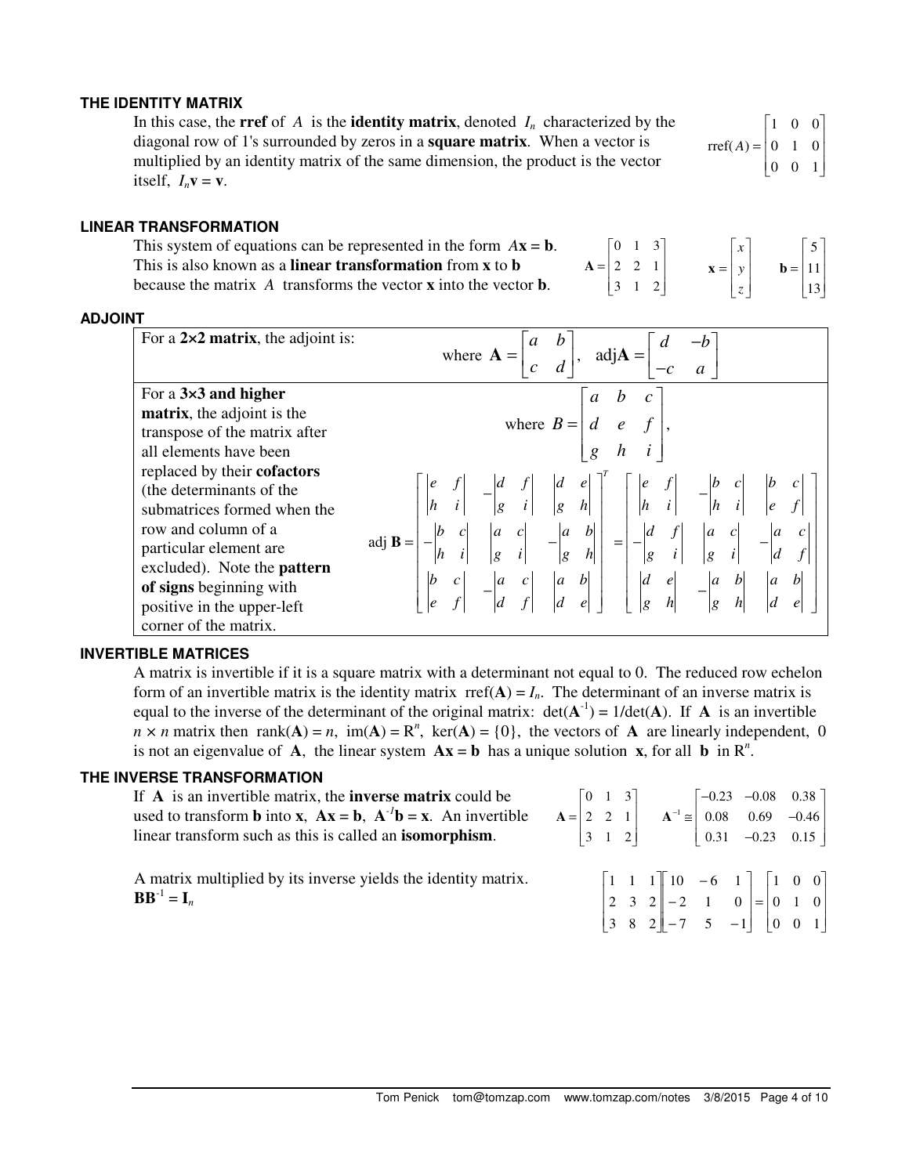## **THE IDENTITY MATRIX**

In this case, the **rref** of *A* is the **identity matrix**, denoted  $I_n$  characterized by the diagonal row of 1's surrounded by zeros in a **square matrix**. When a vector is multiplied by an identity matrix of the same dimension, the product is the vector itself,  $I_n \mathbf{v} = \mathbf{v}$ .  $rref(A) =$ Γ L L 1 0 0 0 1 0 0 0 1

#### **LINEAR TRANSFORMATION**

This system of equations can be represented in the form  $A\mathbf{x} = \mathbf{b}$ This is also known as a **linear transformation** from **x** to **b** because the matrix *A* transforms the vector **x** into the vector **b**. 0 1 3 2 2 1  $\begin{bmatrix} 0 & 1 & 3 \end{bmatrix}$  $\begin{bmatrix} 2 & 3 & 1 \end{bmatrix}$ =  $\begin{bmatrix} 2 & 2 & 1 \end{bmatrix}$ 

| ). | $\begin{bmatrix} 0 & 1 & 3 \end{bmatrix}$                  |  | $\lceil x \rceil$                                   |                                                            |  |
|----|------------------------------------------------------------|--|-----------------------------------------------------|------------------------------------------------------------|--|
|    | $A = \begin{bmatrix} 2 & 2 & 1 \\ 3 & 1 & 2 \end{bmatrix}$ |  |                                                     |                                                            |  |
|    |                                                            |  | $\mathbf{x} = \begin{bmatrix} y \\ z \end{bmatrix}$ | $\mathbf{b} = \begin{bmatrix} 5 \\ 11 \\ 13 \end{bmatrix}$ |  |

1

 $\overline{\phantom{a}}$  $\overline{\phantom{a}}$  $\overline{\phantom{a}}$ 

J

## **ADJOINT**

| For a $2\times 2$ matrix, the adjoint is:                                                                                                                                                                                                                              | where $\mathbf{A} = \begin{vmatrix} a & b \\ c & d \end{vmatrix}$ , adj $\mathbf{A} = \begin{vmatrix} d & b \\ d & d \end{vmatrix}$                                                                                                                                                                                                                                                                                                                                                                                                                               |
|------------------------------------------------------------------------------------------------------------------------------------------------------------------------------------------------------------------------------------------------------------------------|-------------------------------------------------------------------------------------------------------------------------------------------------------------------------------------------------------------------------------------------------------------------------------------------------------------------------------------------------------------------------------------------------------------------------------------------------------------------------------------------------------------------------------------------------------------------|
| For a $3\times3$ and higher<br><b>matrix</b> , the adjoint is the<br>transpose of the matrix after<br>all elements have been                                                                                                                                           | where $B = \begin{bmatrix} a & b & c \\ d & e & f \\ g & h & i \end{bmatrix}$ ,                                                                                                                                                                                                                                                                                                                                                                                                                                                                                   |
| replaced by their <b>cofactors</b><br>(the determinants of the<br>submatrices formed when the<br>row and column of a<br>particular element are<br>excluded). Note the <b>pattern</b><br>of signs beginning with<br>positive in the upper-left<br>corner of the matrix. | $\begin{vmatrix} e & f \\ h & i \end{vmatrix} - \begin{vmatrix} d & f \\ g & i \end{vmatrix} \begin{vmatrix} d & e \\ g & h \end{vmatrix}^T = \begin{vmatrix} e & f \\ h & i \end{vmatrix} - \begin{vmatrix} b & c \\ h & i \end{vmatrix} \begin{vmatrix} b & c \\ e & f \end{vmatrix}$<br>$-\begin{vmatrix} b & c \\ h & i \end{vmatrix} \begin{vmatrix} a & c \\ g & i \end{vmatrix} = -\begin{vmatrix} a & b \\ g & h \end{vmatrix} = -\begin{vmatrix} d & f \\ g & i \end{vmatrix} \begin{vmatrix} a & c \\ g & i \end{vm$<br>adj $\mathbf{B} =$<br>$ b \ c $ |

## **INVERTIBLE MATRICES**

A matrix is invertible if it is a square matrix with a determinant not equal to 0. The reduced row echelon form of an invertible matrix is the identity matrix  $rref(A) = I_n$ . The determinant of an inverse matrix is equal to the inverse of the determinant of the original matrix:  $det(A^{-1}) = 1/det(A)$ . If A is an invertible  $n \times n$  matrix then rank( $\mathbf{A}$ ) = *n*, im( $\mathbf{A}$ ) =  $\mathbf{R}^n$ , ker( $\mathbf{A}$ ) = {0}, the vectors of  $\mathbf{A}$  are linearly independent, 0 is not an eigenvalue of **A**, the linear system  $Ax = b$  has a unique solution **x**, for all **b** in  $R^n$ .

## **THE INVERSE TRANSFORMATION**

| If $A$ is an invertible matrix, the <b>inverse matrix</b> could be                  |  | $\begin{bmatrix} 0 & 1 & 3 \end{bmatrix}$ |  | $\begin{bmatrix} -0.23 & -0.08 & 0.38 \end{bmatrix}$                                                                                                                  |  |
|-------------------------------------------------------------------------------------|--|-------------------------------------------|--|-----------------------------------------------------------------------------------------------------------------------------------------------------------------------|--|
| used to transform <b>b</b> into <b>x</b> , $Ax = b$ , $A^{-1}b = x$ . An invertible |  |                                           |  | $A = \begin{pmatrix} 2 & 2 & 1 \end{pmatrix}$ $A^{-1} \approx \begin{pmatrix} 0.08 & 0.69 & -0.46 \end{pmatrix}$                                                      |  |
| linear transform such as this is called an <b>isomorphism</b> .                     |  |                                           |  | $\begin{vmatrix} 3 & 1 & 2 \end{vmatrix}$ $\begin{vmatrix} 0.31 & -0.23 & 0.15 \end{vmatrix}$                                                                         |  |
| A matrix multiplied by its inverse yields the identity matrix.<br>$BB^{-1} = I_n$   |  |                                           |  | $\begin{bmatrix} 1 & 1 & 1 \\ 2 & 3 & 2 \end{bmatrix} \begin{bmatrix} 10 & -6 & 1 \\ -2 & 1 & 0 \end{bmatrix} = \begin{bmatrix} 1 & 0 & 0 \\ 0 & 1 & 0 \end{bmatrix}$ |  |

3 8 2

 $\begin{bmatrix} 3 & 8 & 2 \end{bmatrix}$ 

 $\overline{\phantom{a}}$ 

 $7 \quad 5 \quad -1$ 

 $\overline{\phantom{a}}$ 

L

 $\begin{bmatrix} 0 & 0 & 1 \end{bmatrix}$ 

 $\overline{\phantom{a}}$ 

 $\begin{bmatrix} 3 & 8 & 2 \end{bmatrix}$  -7 5 -1  $\begin{bmatrix} 0 & 0 & 1 \end{bmatrix}$ 

 $\begin{bmatrix} -7 & 5 & -1 \end{bmatrix}$ 

 $\begin{bmatrix} -7 & 5 & - \end{bmatrix}$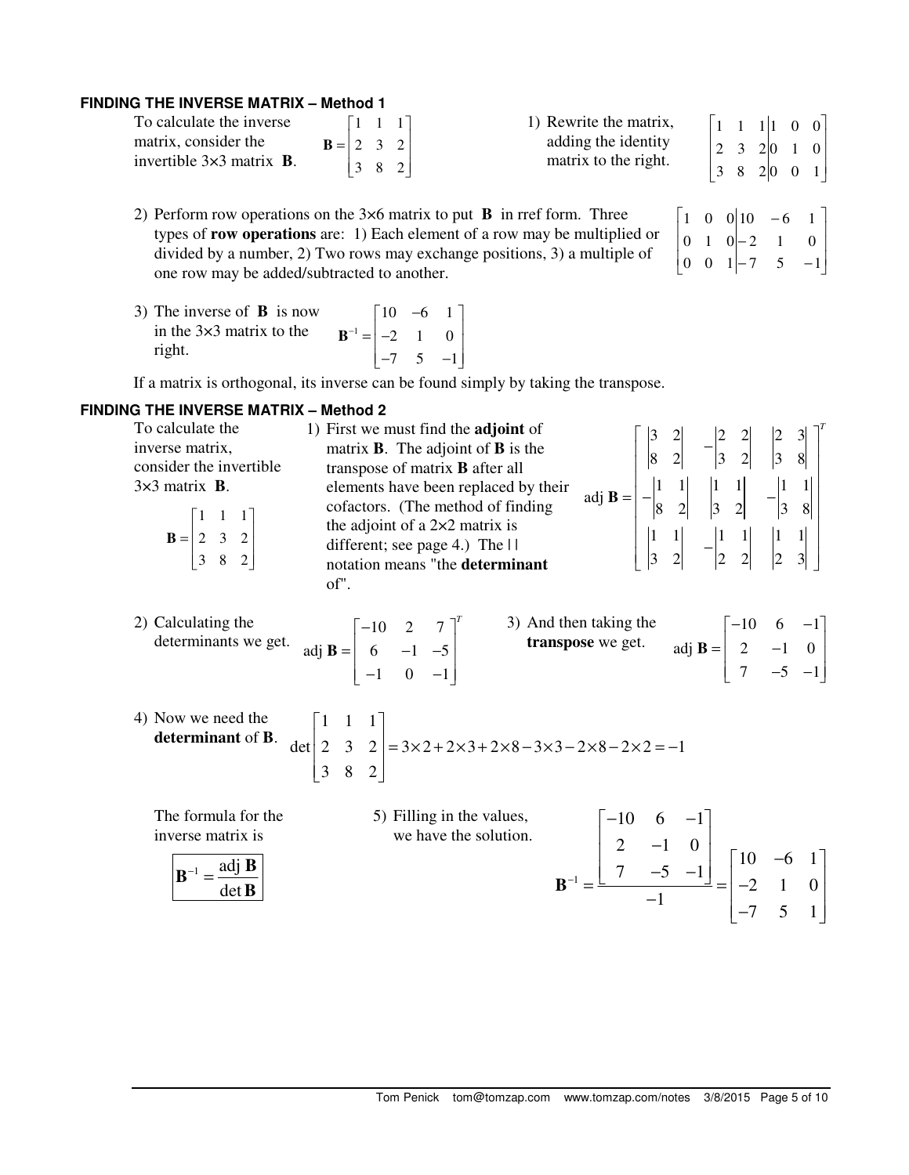## **FINDING THE INVERSE MATRIX – Method 1**

| To calculate the inverse                |                                                        |  | $\begin{bmatrix} 1 & 1 & 1 \end{bmatrix}$ |  |
|-----------------------------------------|--------------------------------------------------------|--|-------------------------------------------|--|
| matrix, consider the                    | $\mathbf{B} = \begin{vmatrix} 2 & 3 & 2 \end{vmatrix}$ |  |                                           |  |
| invertible $3\times3$ matrix <b>B</b> . |                                                        |  | $\begin{vmatrix} 3 & 8 & 2 \end{vmatrix}$ |  |

- 2) Perform row operations on the 3×6 matrix to put **B** in rref form. Three types of **row operations** are: 1) Each element of a row may be multiplied or divided by a number, 2) Two rows may exchange positions, 3) a multiple of one row may be added/subtracted to another.
- 3) The inverse of **B** is now in the 3×3 matrix to the right. 1  $10 -6 1$ 2 1 0  $7 \quad 5 \quad -1$ −  $\begin{bmatrix} 10 & -6 & 1 \end{bmatrix}$  $=\begin{vmatrix} -2 & 1 & 0 \end{vmatrix}$  $\begin{bmatrix} -7 & 5 & -1 \end{bmatrix}$ **B**

If a matrix is orthogonal, its inverse can be found simply by taking the transpose.

## **FINDING THE INVERSE MATRIX – Method 2**

| To calculate the<br>inverse matrix,<br>consider the invertible<br>$3\times3$ matrix <b>B</b> .<br>$\mathbf{B} = \begin{bmatrix} 1 & 1 & 1 \\ 2 & 3 & 2 \\ 3 & 8 & 2 \end{bmatrix}$ | 1) First we must find the <b>adjoint</b> of<br>adj <b>B</b> = $\begin{bmatrix} 3 & 2 & -2 & 2 & 2 & 3 & 3 \ 8 & 2 & 3 & 2 & 3 & 8 \ 8 & 2 & 3 & 2 & -3 & 8 \ 8 & 2 & 3 & 2 & -3 & 8 \ 1 & 1 & 1 & -1 & 1 & 1 \ 3 & 2 & -2 & 2 & 2 & 3 \end{bmatrix}$<br>matrix $\bf{B}$ . The adjoint of $\bf{B}$ is the<br>transpose of matrix <b>B</b> after all<br>elements have been replaced by their<br>cofactors. (The method of finding<br>the adjoint of a $2\times 2$ matrix is<br>different; see page 4.) The $\Box$<br>notation means "the determinant<br>of". |
|------------------------------------------------------------------------------------------------------------------------------------------------------------------------------------|------------------------------------------------------------------------------------------------------------------------------------------------------------------------------------------------------------------------------------------------------------------------------------------------------------------------------------------------------------------------------------------------------------------------------------------------------------------------------------------------------------------------------------------------------------|
| 2) Calculating the<br>determinants we get.                                                                                                                                         | adj <b>B</b> = $\begin{bmatrix} -10 & 2 & 7 \\ 6 & -1 & -5 \\ -1 & 0 & -1 \end{bmatrix}^T$ 3) And then taking the<br><b>transpose</b> we get. adj <b>B</b> = $\begin{bmatrix} -10 & 6 & -1 \\ 2 & -1 & 0 \\ 7 & -5 & -1 \end{bmatrix}$                                                                                                                                                                                                                                                                                                                     |
|                                                                                                                                                                                    | 4) Now we need the<br>determinant of <b>B</b> . det $\begin{bmatrix} 1 & 1 & 1 \\ 2 & 3 & 2 \\ 3 & 8 & 2 \end{bmatrix} = 3 \times 2 + 2 \times 3 + 2 \times 8 - 3 \times 3 - 2 \times 8 - 2 \times 2 = -1$                                                                                                                                                                                                                                                                                                                                                 |
| The formula for the<br>inverse matrix is<br>$\mathbf{B}^{-1} = \frac{\text{adj } \mathbf{B}}{n}$<br>$det \mathbf{B}$                                                               | 5) Filling in the values,<br>$\mathbf{B}^{-1} = \frac{\begin{bmatrix} -10 & 6 & -1 \\ 2 & -1 & 0 \\ 7 & -5 & -1 \end{bmatrix}}{-1} = \begin{bmatrix} 10 & -6 & 1 \\ -2 & 1 & 0 \\ -7 & 5 & 1 \end{bmatrix}$<br>we have the solution.                                                                                                                                                                                                                                                                                                                       |

|  | $\begin{bmatrix} 1 & 0 & 0 & 10 & -6 & 1 \\ 0 & 1 & 0 & -2 & 1 & 0 \\ 0 & 0 & 1 & -7 & 5 & -1 \end{bmatrix}$ |  |
|--|--------------------------------------------------------------------------------------------------------------|--|
|  |                                                                                                              |  |
|  |                                                                                                              |  |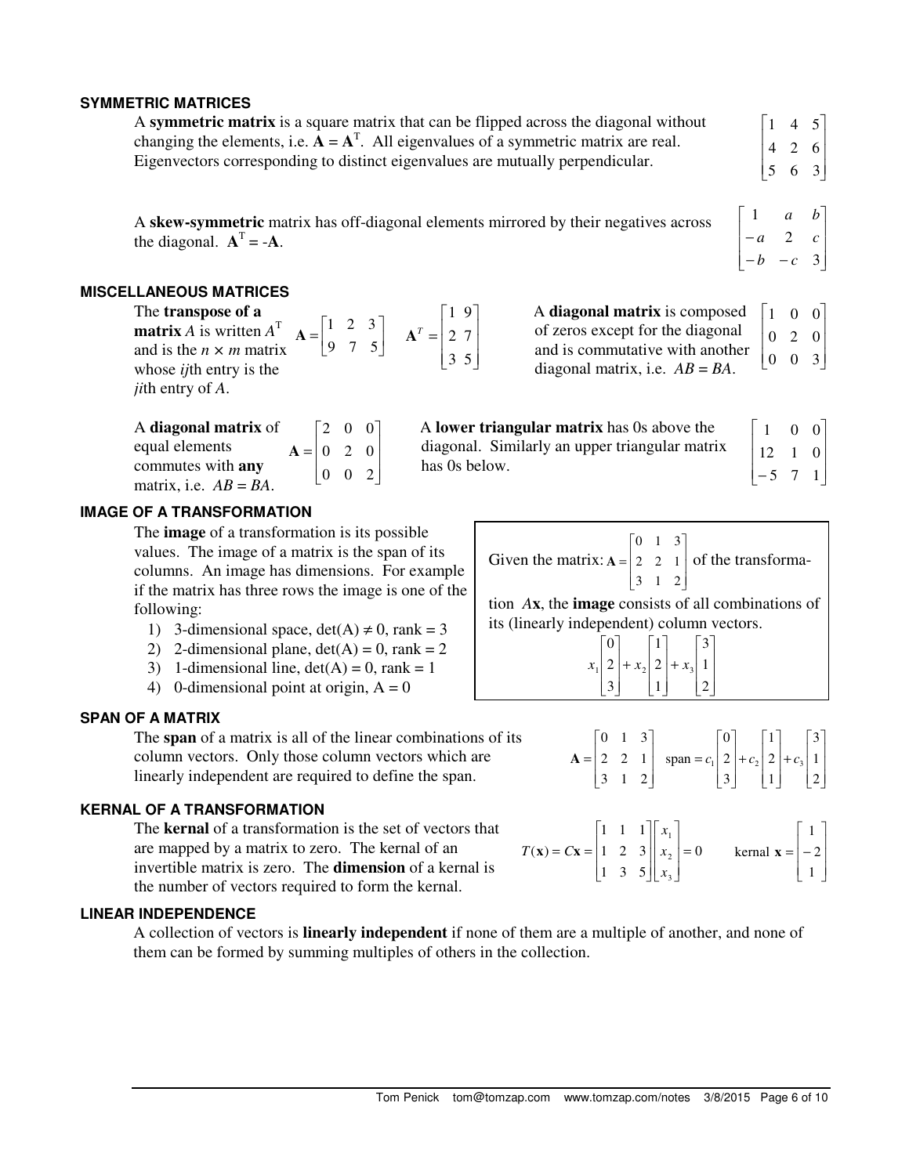## **SYMMETRIC MATRICES**

| A symmetric matrix is a square matrix that can be flipped across the diagonal without  | $\begin{bmatrix} 1 & 4 & 5 \end{bmatrix}$ |  |
|----------------------------------------------------------------------------------------|-------------------------------------------|--|
| changing the elements, i.e. $A = AT$ . All eigenvalues of a symmetric matrix are real. | $\begin{vmatrix} 4 & 2 & 6 \end{vmatrix}$ |  |
| Eigenvectors corresponding to distinct eigenvalues are mutually perpendicular.         | $\begin{vmatrix} 5 & 6 & 3 \end{vmatrix}$ |  |

has 0s below.

A **skew-symmetric** matrix has off-diagonal elements mirrored by their negatives across the diagonal.  $A<sup>T</sup> = -A$ .

#### **MISCELLANEOUS MATRICES**

The **transpose of a matrix** *A* is written *A* T and is the *n × m* matrix whose *ij*th entry is the *ji*th entry of *A*. 1 2 3 9 7 5  $\mathbf{A} = \begin{bmatrix} 1 & 2 & 3 \\ 9 & 7 & 5 \end{bmatrix}$ 1 9 2 7 3 5 *T*  $\lceil 1 \rceil$  $=\left(2 \space 7\right)$  $\begin{bmatrix} 3 & 5 \end{bmatrix}$ **A**

| A diagonal matrix of     |                                               |  | $\begin{bmatrix} 2 & 0 & 0 \end{bmatrix}$ |  |
|--------------------------|-----------------------------------------------|--|-------------------------------------------|--|
| equal elements           | $A = \begin{bmatrix} 0 & 2 & 0 \end{bmatrix}$ |  |                                           |  |
| commutes with any        |                                               |  | $\begin{vmatrix} 0 & 0 & 2 \end{vmatrix}$ |  |
| matrix, i.e. $AB = BA$ . |                                               |  |                                           |  |

| A lower triangular matrix has 0s above the     | $\perp$ 1  |
|------------------------------------------------|------------|
| diagonal. Similarly an upper triangular matrix | $\vert$ 12 |

of zeros except for the diagonal and is commutative with another diagonal matrix, i.e.  $AB = BA$ .

| ٠   |    | 0 | 0              |
|-----|----|---|----------------|
| rix | 12 | 1 | $\overline{0}$ |
|     | 5  |   |                |

 $\mathbf{r}$  $\overline{a}$  $\mathbb{R}$ 

 $-b$  – −

 $\mathbb{I}$ 

*b c a c a b*

2

 $\begin{vmatrix} 0 & 2 & 0 \end{vmatrix}$  $\begin{bmatrix} 0 & 0 & 3 \end{bmatrix}$ 

Г

1

L

A **diagonal matrix** is composed  $\begin{bmatrix} 1 & 0 & 0 \end{bmatrix}$ 

 $\overline{\phantom{a}}$  $\overline{\phantom{a}}$  $\overline{\phantom{a}}$ 

1

J

 $\overline{\phantom{a}}$  $\overline{\phantom{a}}$ 

3

#### **IMAGE OF A TRANSFORMATION**

The **image** of a transformation is its possible values. The image of a matrix is the span of its columns. An image has dimensions. For example if the matrix has three rows the image is one of the following:

- 1) 3-dimensional space, det(A)  $\neq$  0, rank = 3
- 2) 2-dimensional plane,  $det(A) = 0$ , rank = 2
- 3) 1-dimensional line,  $det(A) = 0$ , rank = 1
- 4) 0-dimensional point at origin,  $A = 0$

## **SPAN OF A MATRIX**

The **span** of a matrix is all of the linear combinations of its column vectors. Only those column vectors which are linearly independent are required to define the span.

## **KERNAL OF A TRANSFORMATION**

The **kernal** of a transformation is the set of vectors that are mapped by a matrix to zero. The kernal of an invertible matrix is zero. The **dimension** of a kernal is the number of vectors required to form the kernal.

## **LINEAR INDEPENDENCE**

A collection of vectors is **linearly independent** if none of them are a multiple of another, and none of them can be formed by summing multiples of others in the collection.

|                                                                                                | $\begin{bmatrix} 0 & 1 & 3 \end{bmatrix}$ |  |  |
|------------------------------------------------------------------------------------------------|-------------------------------------------|--|--|
| Given the matrix: $A = \begin{bmatrix} 2 & 2 & 1 \ 2 & 2 & 1 \end{bmatrix}$ of the transforma- |                                           |  |  |
|                                                                                                | $ 3 \t1 \t2 $                             |  |  |

tion *A***x**, the **image** consists of all combinations of its (linearly independent) column vectors.

$$
x_1\begin{bmatrix} 0 \\ 2 \\ 3 \end{bmatrix} + x_2 \begin{bmatrix} 1 \\ 2 \\ 1 \end{bmatrix} + x_3 \begin{bmatrix} 3 \\ 1 \\ 2 \end{bmatrix}
$$

 $1 \mid 2 \mid 1 \cdot 2 \mid 2 \mid 1 \cdot 3$  $0 \quad 1 \quad 3 \quad | \quad 0 \quad | \quad 1 \quad | \quad 3$ 2 2 1  $\vert$  span =  $c_1$  | 2 | +  $c_2$  | 2 | +  $c_3$  | 1  $3 \quad 1 \quad 2 \quad | \quad 3 \quad | \quad 1 \quad | \quad 2$  $c_1 | 2 | + c_2 | 2 | + c$  $\begin{bmatrix} 0 & 1 & 3 \end{bmatrix}$   $\begin{bmatrix} 0 & \begin{bmatrix} 1 & \end{bmatrix} & \begin{bmatrix} 3 \end{bmatrix}$  $= | 2 \quad 2 \quad 1 | \quad \text{span} = c_1 | 2 | + c_2 | 2 | + c_3 | 1 |$  $\begin{bmatrix} 3 & 1 & 2 \end{bmatrix}$   $\begin{bmatrix} 3 & 1 \end{bmatrix}$   $\begin{bmatrix} 1 & 2 \end{bmatrix}$ **A**

$$
T(\mathbf{x}) = C\mathbf{x} = \begin{bmatrix} 1 & 1 & 1 \\ 1 & 2 & 3 \\ 1 & 3 & 5 \end{bmatrix} \begin{bmatrix} x_1 \\ x_2 \\ x_3 \end{bmatrix} = 0 \quad \text{kernal } \mathbf{x} = \begin{bmatrix} 1 \\ -2 \\ 1 \end{bmatrix}
$$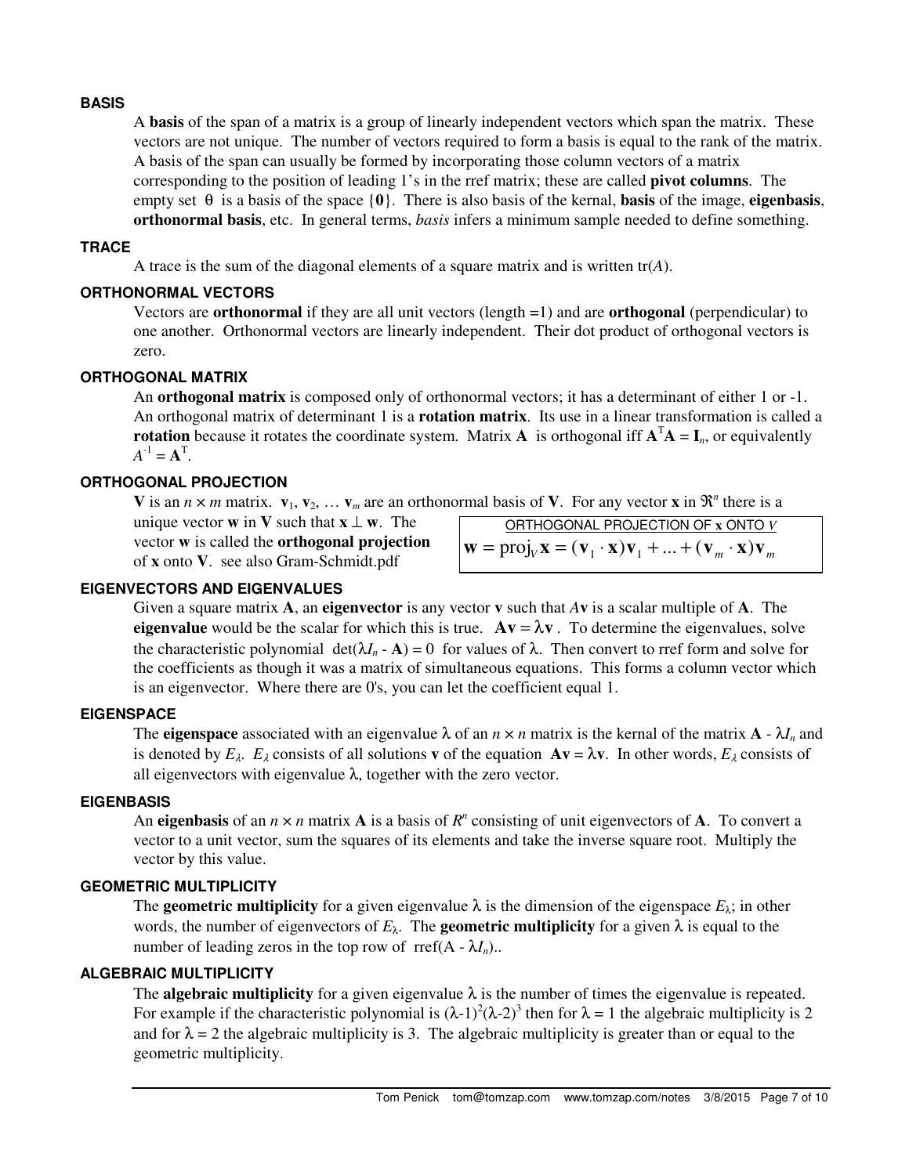## **BASIS**

A **basis** of the span of a matrix is a group of linearly independent vectors which span the matrix. These vectors are not unique. The number of vectors required to form a basis is equal to the rank of the matrix. A basis of the span can usually be formed by incorporating those column vectors of a matrix corresponding to the position of leading 1's in the rref matrix; these are called **pivot columns**. The empty set θ is a basis of the space {**0**}. There is also basis of the kernal, **basis** of the image, **eigenbasis**, **orthonormal basis**, etc. In general terms, *basis* infers a minimum sample needed to define something.

## **TRACE**

A trace is the sum of the diagonal elements of a square matrix and is written  $tr(A)$ .

## **ORTHONORMAL VECTORS**

Vectors are **orthonormal** if they are all unit vectors (length =1) and are **orthogonal** (perpendicular) to one another. Orthonormal vectors are linearly independent. Their dot product of orthogonal vectors is zero.

## **ORTHOGONAL MATRIX**

An **orthogonal matrix** is composed only of orthonormal vectors; it has a determinant of either 1 or -1. An orthogonal matrix of determinant 1 is a **rotation matrix**. Its use in a linear transformation is called a **rotation** because it rotates the coordinate system. Matrix **A** is orthogonal iff  $A<sup>T</sup>A = I<sub>n</sub>$ , or equivalently  $A^{-1} = A^{T}$ .

## **ORTHOGONAL PROJECTION**

**V** is an  $n \times m$  matrix.  $\mathbf{v}_1, \mathbf{v}_2, \ldots, \mathbf{v}_m$  are an orthonormal basis of **V**. For any vector **x** in  $\mathbb{R}^n$  there is a

unique vector **w** in **V** such that  $\mathbf{x} \perp \mathbf{w}$ . The vector **w** is called the **orthogonal projection** of **x** onto **V**. see also Gram-Schmidt.pdf

| ORTHOGONAL PROJECTION OF x ONTO V                                                                                                        |  |
|------------------------------------------------------------------------------------------------------------------------------------------|--|
| $\mathbf{w} = \text{proj}_v \mathbf{x} = (\mathbf{v}_1 \cdot \mathbf{x}) \mathbf{v}_1 +  + (\mathbf{v}_m \cdot \mathbf{x}) \mathbf{v}_m$ |  |

## **EIGENVECTORS AND EIGENVALUES**

Given a square matrix **A**, an **eigenvector** is any vector **v** such that *A***v** is a scalar multiple of **A**. The **eigenvalue** would be the scalar for which this is true.  $A\mathbf{v} = \lambda \mathbf{v}$ . To determine the eigenvalues, solve the characteristic polynomial  $det(\lambda I_n - A) = 0$  for values of  $\lambda$ . Then convert to rref form and solve for the coefficients as though it was a matrix of simultaneous equations. This forms a column vector which is an eigenvector. Where there are 0's, you can let the coefficient equal 1.

## **EIGENSPACE**

The **eigenspace** associated with an eigenvalue  $\lambda$  of an  $n \times n$  matrix is the kernal of the matrix  $\mathbf{A} - \lambda I_n$  and is denoted by  $E_\lambda$ .  $E_\lambda$  consists of all solutions **v** of the equation  $Av = \lambda v$ . In other words,  $E_\lambda$  consists of all eigenvectors with eigenvalue  $\lambda$ , together with the zero vector.

#### **EIGENBASIS**

An **eigenbasis** of an  $n \times n$  matrix **A** is a basis of  $R^n$  consisting of unit eigenvectors of **A**. To convert a vector to a unit vector, sum the squares of its elements and take the inverse square root. Multiply the vector by this value.

#### **GEOMETRIC MULTIPLICITY**

The **geometric multiplicity** for a given eigenvalue  $\lambda$  is the dimension of the eigenspace  $E_{\lambda}$ ; in other words, the number of eigenvectors of  $E_{\lambda}$ . The **geometric multiplicity** for a given  $\lambda$  is equal to the number of leading zeros in the top row of rref( $A - \lambda I_n$ )...

## **ALGEBRAIC MULTIPLICITY**

The **algebraic multiplicity** for a given eigenvalue  $\lambda$  is the number of times the eigenvalue is repeated. For example if the characteristic polynomial is  $(\lambda-1)^2(\lambda-2)^3$  then for  $\lambda = 1$  the algebraic multiplicity is 2 and for  $\lambda = 2$  the algebraic multiplicity is 3. The algebraic multiplicity is greater than or equal to the geometric multiplicity.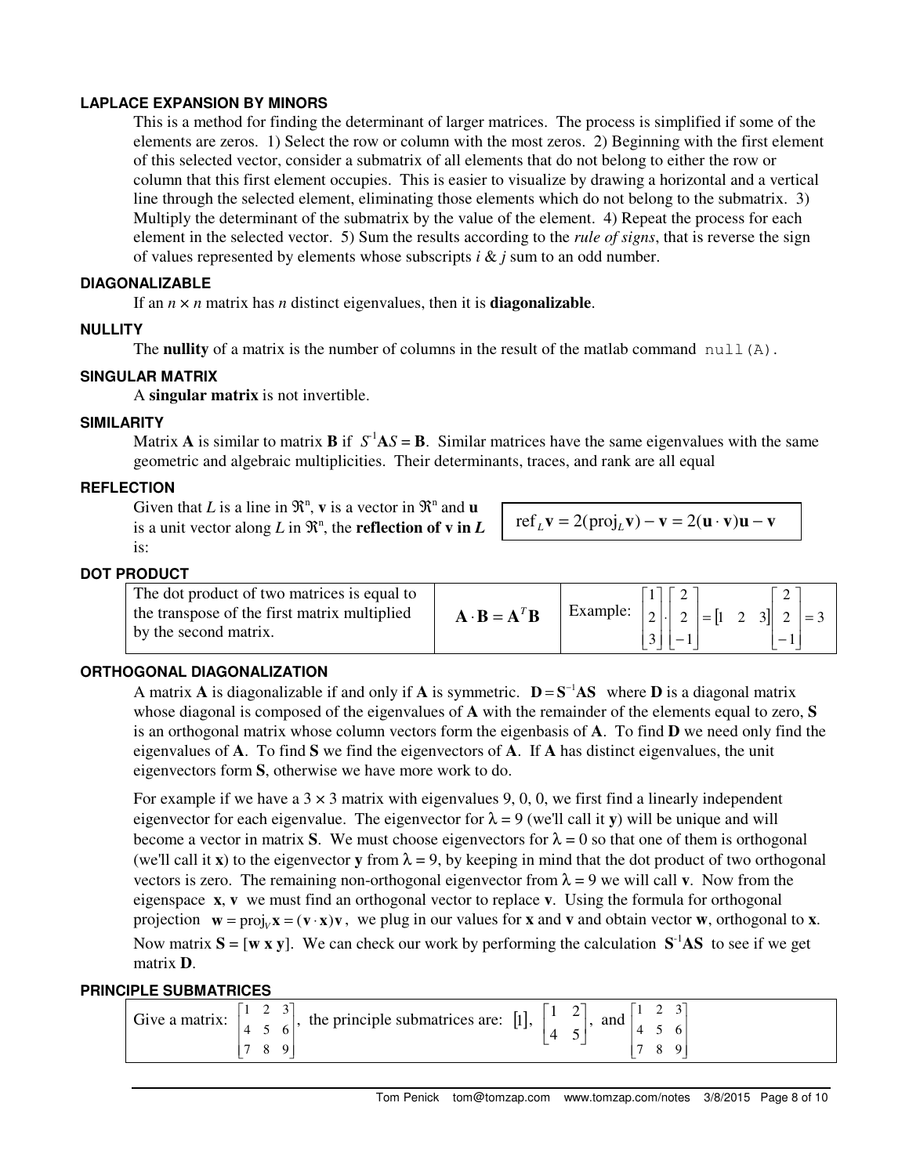## **LAPLACE EXPANSION BY MINORS**

This is a method for finding the determinant of larger matrices. The process is simplified if some of the elements are zeros. 1) Select the row or column with the most zeros. 2) Beginning with the first element of this selected vector, consider a submatrix of all elements that do not belong to either the row or column that this first element occupies. This is easier to visualize by drawing a horizontal and a vertical line through the selected element, eliminating those elements which do not belong to the submatrix. 3) Multiply the determinant of the submatrix by the value of the element. 4) Repeat the process for each element in the selected vector. 5) Sum the results according to the *rule of signs*, that is reverse the sign of values represented by elements whose subscripts *i* & *j* sum to an odd number.

#### **DIAGONALIZABLE**

If an  $n \times n$  matrix has *n* distinct eigenvalues, then it is **diagonalizable**.

## **NULLITY**

The **nullity** of a matrix is the number of columns in the result of the matlab command  $null(A)$ .

## **SINGULAR MATRIX**

A **singular matrix** is not invertible.

## **SIMILARITY**

Matrix **A** is similar to matrix **B** if  $S<sup>-1</sup>AS = B$ . Similar matrices have the same eigenvalues with the same geometric and algebraic multiplicities. Their determinants, traces, and rank are all equal

## **REFLECTION**

Given that *L* is a line in  $\mathbb{R}^n$ , **v** is a vector in  $\mathbb{R}^n$  and **u** is a unit vector along  $L$  in  $\mathfrak{R}^n$ , the **reflection of v in**  $L$ is:

ref<sub>L</sub>
$$
\mathbf{v} = 2(\text{proj}_L \mathbf{v}) - \mathbf{v} = 2(\mathbf{u} \cdot \mathbf{v})\mathbf{u} - \mathbf{v}
$$

## **DOT PRODUCT**

| The dot product of two matrices is equal to<br>the transpose of the first matrix multiplied<br>by the second matrix. | $\mathbf{A} \cdot \mathbf{B} = \mathbf{A}^T \mathbf{B}$ |  | Example: $ 2  \cdot  2  =  1 \cdot 2 \cdot 3   2  = 3$ |
|----------------------------------------------------------------------------------------------------------------------|---------------------------------------------------------|--|--------------------------------------------------------|
|                                                                                                                      |                                                         |  | $-1$ .                                                 |

## **ORTHOGONAL DIAGONALIZATION**

A matrix **A** is diagonalizable if and only if **A** is symmetric.  $D = S^{-1}AS$  where **D** is a diagonal matrix whose diagonal is composed of the eigenvalues of **A** with the remainder of the elements equal to zero, **S** is an orthogonal matrix whose column vectors form the eigenbasis of **A**. To find **D** we need only find the eigenvalues of **A**. To find **S** we find the eigenvectors of **A**. If **A** has distinct eigenvalues, the unit eigenvectors form **S**, otherwise we have more work to do.

For example if we have a  $3 \times 3$  matrix with eigenvalues 9, 0, 0, we first find a linearly independent eigenvector for each eigenvalue. The eigenvector for  $\lambda = 9$  (we'll call it **y**) will be unique and will become a vector in matrix **S**. We must choose eigenvectors for  $\lambda = 0$  so that one of them is orthogonal (we'll call it **x**) to the eigenvector **y** from  $\lambda = 9$ , by keeping in mind that the dot product of two orthogonal vectors is zero. The remaining non-orthogonal eigenvector from  $\lambda = 9$  we will call **v**. Now from the eigenspace **x**, **v** we must find an orthogonal vector to replace **v**. Using the formula for orthogonal projection  $\mathbf{w} = \text{proj}_v \mathbf{x} = (\mathbf{v} \cdot \mathbf{x})\mathbf{v}$ , we plug in our values for **x** and **v** and obtain vector **w**, orthogonal to **x**. Now matrix  $S = [w \times y]$ . We can check our work by performing the calculation  $S<sup>-1</sup>AS$  to see if we get matrix **D**.

## **PRINCIPLE SUBMATRICES**

| Give a matrix: | $\overline{\phantom{0}}$<br>the principle submatrices are: [1], | $\overline{\phantom{a}}$<br>$\mathbf{r}$<br>and |
|----------------|-----------------------------------------------------------------|-------------------------------------------------|
|----------------|-----------------------------------------------------------------|-------------------------------------------------|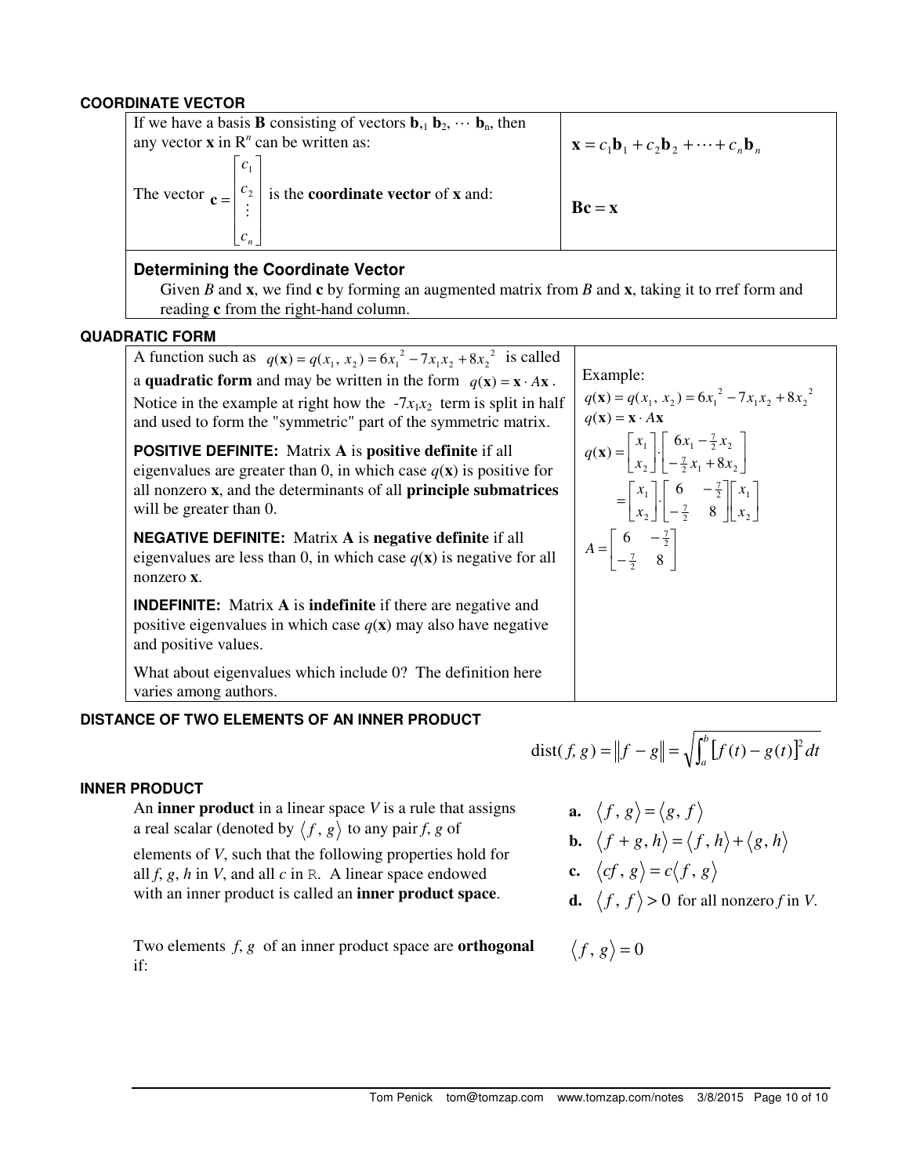## **COORDINATE VECTOR**

| If we have a basis <b>B</b> consisting of vectors $\mathbf{b}_{11} \mathbf{b}_{22} \cdots \mathbf{b}_{n}$ , then<br>any vector $x$ in $Rn$ can be written as: | $\mathbf{x} = c_1 \mathbf{b}_1 + c_2 \mathbf{b}_2 + \cdots + c_n \mathbf{b}_n$ |
|---------------------------------------------------------------------------------------------------------------------------------------------------------------|--------------------------------------------------------------------------------|
| The vector $\mathbf{c} = \begin{vmatrix} c_2 \\ c \end{vmatrix}$ is the <b>coordinate vector</b> of <b>x</b> and:                                             | $Bc = x$                                                                       |

## **Determining the Coordinate Vector**

Given *B* and **x**, we find **c** by forming an augmented matrix from *B* and **x**, taking it to rref form and reading **c** from the right-hand column.

## **QUADRATIC FORM**

A function such as  $q(\mathbf{x}) = q(x_1, x_2) = 6x_1^2 - 7x_1x_2 + 8x_2^2$  is called a **quadratic form** and may be written in the form  $q(\mathbf{x}) = \mathbf{x} \cdot A\mathbf{x}$ . Notice in the example at right how the  $-7x_1x_2$  term is split in half and used to form the "symmetric" part of the symmetric matrix.

**POSITIVE DEFINITE:** Matrix **A** is **positive definite** if all eigenvalues are greater than 0, in which case  $q(\mathbf{x})$  is positive for all nonzero **x**, and the determinants of all **principle submatrices** will be greater than 0.

**NEGATIVE DEFINITE:** Matrix **A** is **negative definite** if all eigenvalues are less than 0, in which case  $q(\mathbf{x})$  is negative for all nonzero **x**.

**INDEFINITE:** Matrix **A** is **indefinite** if there are negative and positive eigenvalues in which case  $q(\mathbf{x})$  may also have negative and positive values.

What about eigenvalues which include 0? The definition here varies among authors.

## **DISTANCE OF TWO ELEMENTS OF AN INNER PRODUCT**

## **INNER PRODUCT**

An **inner product** in a linear space *V* is a rule that assigns a real scalar (denoted by  $\langle f, g \rangle$  to any pair *f*, *g* of elements of *V*, such that the following properties hold for all  $f$ ,  $g$ ,  $h$  in  $V$ , and all  $c$  in R. A linear space endowed with an inner product is called an **inner product space**.

Two elements *f*, *g* of an inner product space are **orthogonal** if:

dist(f, g) = 
$$
||f - g|| = \sqrt{\int_a^b [f(t) - g(t)]^2 dt}
$$

**a.**  $\langle f, g \rangle = \langle g, f \rangle$ 

**b.** 
$$
\langle f+g, h \rangle = \langle f, h \rangle + \langle g, h \rangle
$$

$$
c. \quad \langle cf, g \rangle = c \langle f, g \rangle
$$

**d.**  $\langle f, f \rangle > 0$  for all nonzero *f* in *V*.

$$
\langle f, g \rangle = 0
$$

Example:

 $q(\mathbf{x}) = \begin{vmatrix} x \\ y \end{vmatrix}$ 

 $\overline{\phantom{a}}$ Г −  $=\begin{vmatrix} 6 & -1 \\ 2 & 1 \end{vmatrix}$ 

6  $\frac{7}{2}$  $A = \begin{bmatrix} 6 & -\frac{7}{2} \\ 7 & 8 \end{bmatrix}$ 

 $q(\mathbf{x}) = \mathbf{x} \cdot A\mathbf{x}$ 

 $q(\mathbf{x}) = q(x_1, x_2) = 6x_1^2 - 7x_1x_2 + 8x_2^2$ 

 $-\frac{7}{2}x_1 +$  $\left[\frac{6x_1 - x_2}{x_1 - x_2}\right]$ 1  $\overline{\mathsf{L}}$  $=$ 

 $\frac{7}{2}$ 

6

 $\frac{7}{2}x_1 + 8x_2$  $x_1 - \frac{7}{2}x_2$ 

 $x_1 - \frac{7}{2}x$ 

8

 $\frac{7}{2}$ 

8

 $\overline{\mathsf{L}}$ Γ

L Г −  $\begin{bmatrix} . & 6 & - \\ -\frac{7}{2} & 8 \end{bmatrix}$ 

> $\overline{\phantom{a}}$ 1

8

 $f(\mathbf{x}) = \begin{vmatrix} x_1 \\ x_2 \end{vmatrix} \cdot \begin{vmatrix} 6x_1 - \frac{7}{2}x_2 \\ -\frac{7}{2}x_1 + 8x_2 \end{vmatrix}$ 

2 1

> 2 1

*x x*

1  $\overline{\phantom{a}}$  $=$ 

*x*

 $\overline{\phantom{a}}$ 1

 $\overline{\phantom{a}}$ 1 l Г  $\overline{\phantom{a}}$ 1

2 1

*x x*